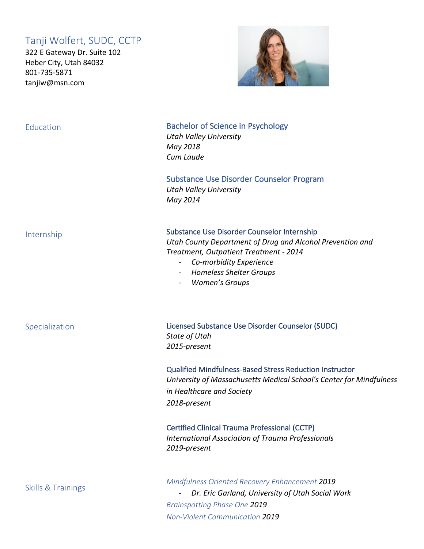## Tanji Wolfert, SUDC, CCTP

322 E Gateway Dr. Suite 102 Heber City, Utah 84032 801-735-5871 tanjiw@msn.com



### **Education**

Bachelor of Science in Psychology *Utah Valley University May 2018 Cum Laude*

Substance Use Disorder Counselor Program *Utah Valley University May 2014*

#### Internship

Specialization

Substance Use Disorder Counselor Internship

*Utah County Department of Drug and Alcohol Prevention and Treatment, Outpatient Treatment - 2014*

- *Co-morbidity Experience*
- *Homeless Shelter Groups*
- *Women's Groups*

Licensed Substance Use Disorder Counselor (SUDC) *State of Utah 2015-present*

Qualified Mindfulness-Based Stress Reduction Instructor *University of Massachusetts Medical School's Center for Mindfulness in Healthcare and Society 2018-present*

Certified Clinical Trauma Professional (CCTP) *International Association of Trauma Professionals 2019-present*

Skills & Trainings

*Mindfulness Oriented Recovery Enhancement 2019*

- *Dr. Eric Garland, University of Utah Social Work Brainspotting Phase One 2019 Non-Violent Communication 2019*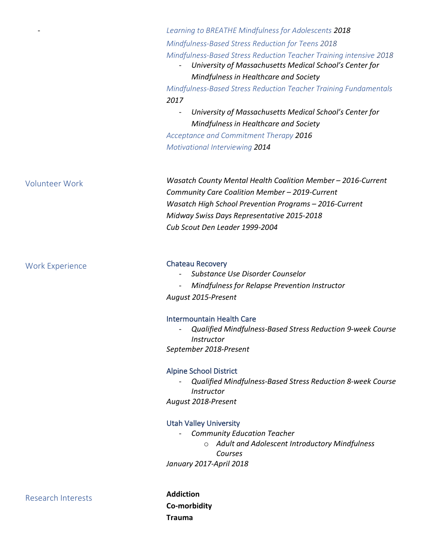*Learning to BREATHE Mindfulness for Adolescents 2018 Mindfulness-Based Stress Reduction for Teens 2018 Mindfulness-Based Stress Reduction Teacher Training intensive 2018*

- *University of Massachusetts Medical School's Center for Mindfulness in Healthcare and Society*

*Mindfulness-Based Stress Reduction Teacher Training Fundamentals 2017*

- *University of Massachusetts Medical School's Center for Mindfulness in Healthcare and Society*

*Acceptance and Commitment Therapy 2016 Motivational Interviewing 2014*

*Wasatch County Mental Health Coalition Member – 2016-Current Community Care Coalition Member – 2019-Current Wasatch High School Prevention Programs – 2016-Current Midway Swiss Days Representative 2015-2018 Cub Scout Den Leader 1999-2004*

#### Chateau Recovery

- *Substance Use Disorder Counselor*
- *Mindfulness for Relapse Prevention Instructor*

*August 2015-Present*

#### Intermountain Health Care

- *Qualified Mindfulness-Based Stress Reduction 9-week Course Instructor*

*September 2018-Present*

#### Alpine School District

- *Qualified Mindfulness-Based Stress Reduction 8-week Course Instructor August 2018-Present*

#### Utah Valley University

- *Community Education Teacher* o *Adult and Adolescent Introductory Mindfulness Courses January 2017-April 2018*

Research Interests

**Addiction Co-morbidity Trauma**

# Volunteer Work

-

Work Experience